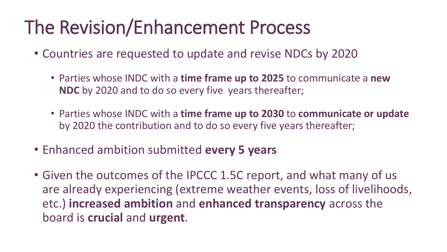## The Revision/Enhancement Process

- Countries are requested to update and revise NDCs by 2020
	- Parties whose INDC with a **time frame up to 2025** to communicate a **new NDC** by 2020 and to do so every five years thereafter;
	- Parties whose INDC with a **time frame up to 2030** to **communicate or update** by 2020 the contribution and to do so every five years thereafter;
- Enhanced ambition submitted **every 5 years**
- Given the outcomes of the IPCCC 1.5C report, and what many of us are already experiencing (extreme weather events, loss of livelihoods, etc.) **increased ambition** and **enhanced transparency** across the board is **crucial** and **urgent**.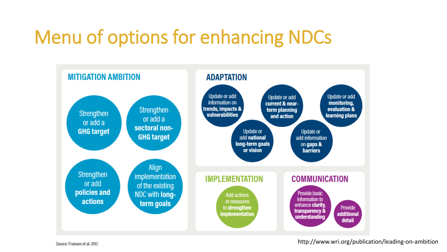## Menu of options for enhancing NDCs



http://www.wri.org/publication/leading-on-ambition

Source: Fransen et al. 2017.